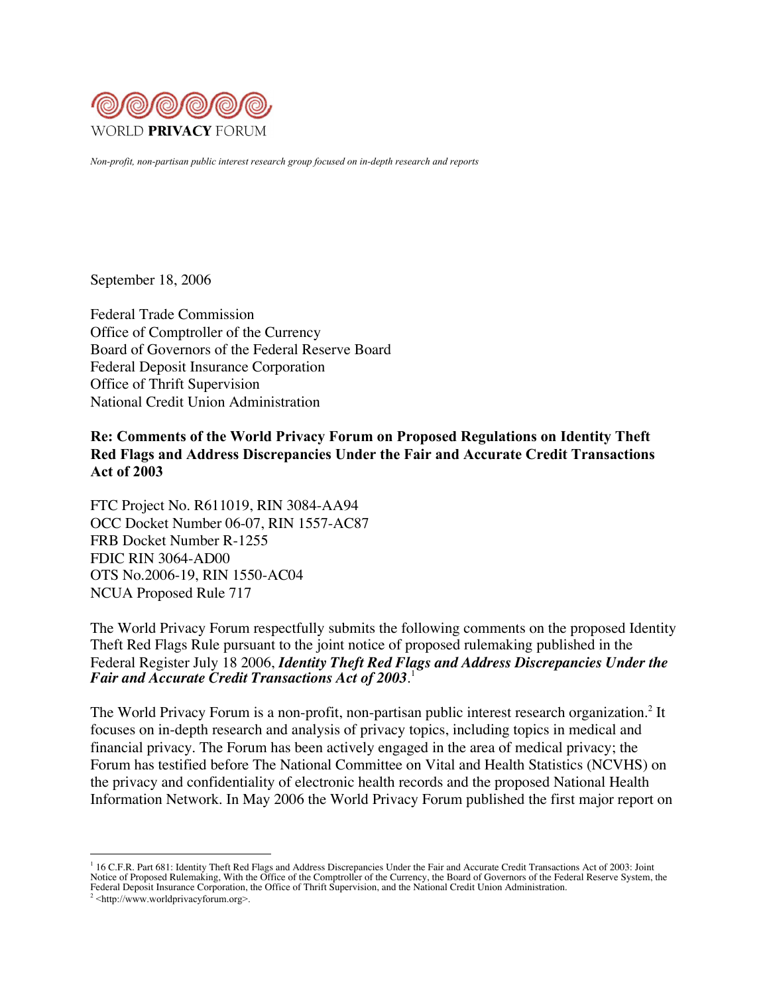

*Non-profit, non-partisan public interest research group focused on in-depth research and reports*

September 18, 2006

Federal Trade Commission Office of Comptroller of the Currency Board of Governors of the Federal Reserve Board Federal Deposit Insurance Corporation Office of Thrift Supervision National Credit Union Administration

Re: Comments of the World Privacy Forum on Proposed Regulations on Identity Theft Red Flags and Address Discrepancies Under the Fair and Accurate Credit Transactions Act of 2003

FTC Project No. R611019, RIN 3084-AA94 OCC Docket Number 06-07, RIN 1557-AC87 FRB Docket Number R-1255 FDIC RIN 3064-AD00 OTS No.2006-19, RIN 1550-AC04 NCUA Proposed Rule 717

The World Privacy Forum respectfully submits the following comments on the proposed Identity Theft Red Flags Rule pursuant to the joint notice of proposed rulemaking published in the Federal Register July 18 2006, *Identity Theft Red Flags and Address Discrepancies Under the Fair and Accurate Credit Transactions Act of 2003*. 1

The World Privacy Forum is a non-profit, non-partisan public interest research organization.<sup>2</sup> It focuses on in-depth research and analysis of privacy topics, including topics in medical and financial privacy. The Forum has been actively engaged in the area of medical privacy; the Forum has testified before The National Committee on Vital and Health Statistics (NCVHS) on the privacy and confidentiality of electronic health records and the proposed National Health Information Network. In May 2006 the World Privacy Forum published the first major report on

 $\overline{a}$ 

<sup>&</sup>lt;sup>1</sup> 16 C.F.R. Part 681: Identity Theft Red Flags and Address Discrepancies Under the Fair and Accurate Credit Transactions Act of 2003: Joint Notice of Proposed Rulemaking, With the Office of the Comptroller of the Currenc Federal Deposit Insurance Corporation, the Office of Thrift Supervision, and the National Credit Union Administration.

 $2$  <http://www.worldprivacyforum.org>.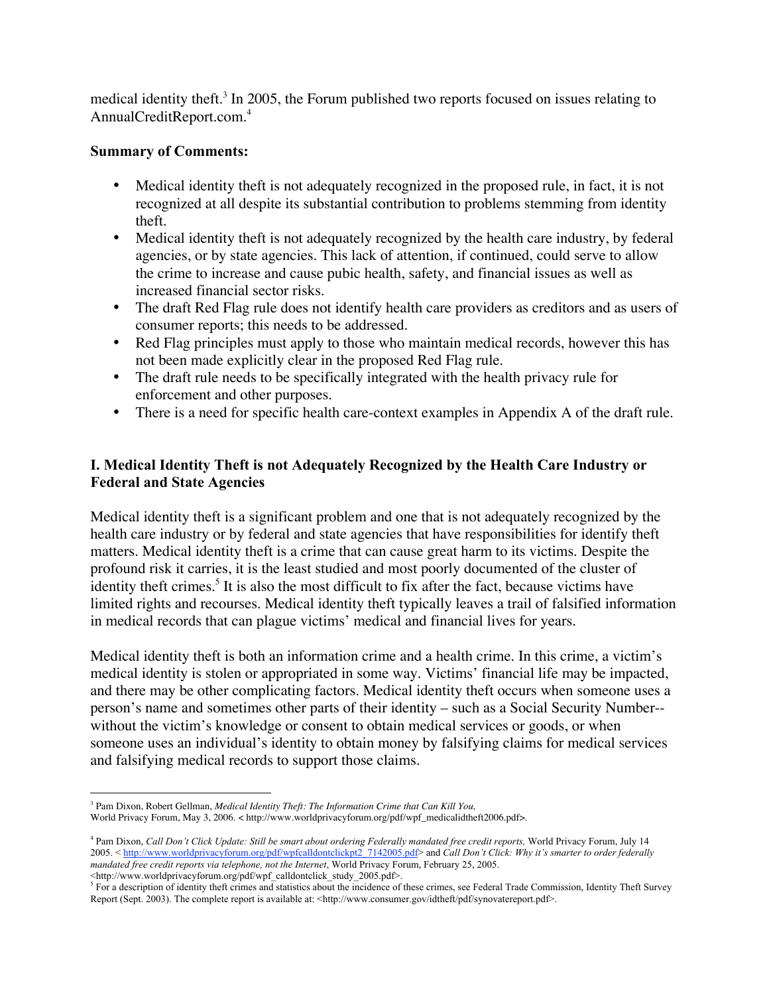medical identity theft.<sup>3</sup> In 2005, the Forum published two reports focused on issues relating to AnnualCreditReport.com.4

#### Summary of Comments:

- Medical identity theft is not adequately recognized in the proposed rule, in fact, it is not recognized at all despite its substantial contribution to problems stemming from identity theft.
- Medical identity theft is not adequately recognized by the health care industry, by federal agencies, or by state agencies. This lack of attention, if continued, could serve to allow the crime to increase and cause pubic health, safety, and financial issues as well as increased financial sector risks.
- The draft Red Flag rule does not identify health care providers as creditors and as users of consumer reports; this needs to be addressed.
- Red Flag principles must apply to those who maintain medical records, however this has not been made explicitly clear in the proposed Red Flag rule.
- The draft rule needs to be specifically integrated with the health privacy rule for enforcement and other purposes.
- There is a need for specific health care-context examples in Appendix A of the draft rule.

## I. Medical Identity Theft is not Adequately Recognized by the Health Care Industry or Federal and State Agencies

Medical identity theft is a significant problem and one that is not adequately recognized by the health care industry or by federal and state agencies that have responsibilities for identify theft matters. Medical identity theft is a crime that can cause great harm to its victims. Despite the profound risk it carries, it is the least studied and most poorly documented of the cluster of identity theft crimes.<sup>5</sup> It is also the most difficult to fix after the fact, because victims have limited rights and recourses. Medical identity theft typically leaves a trail of falsified information in medical records that can plague victims' medical and financial lives for years.

Medical identity theft is both an information crime and a health crime. In this crime, a victim's medical identity is stolen or appropriated in some way. Victims' financial life may be impacted, and there may be other complicating factors. Medical identity theft occurs when someone uses a person's name and sometimes other parts of their identity – such as a Social Security Number- without the victim's knowledge or consent to obtain medical services or goods, or when someone uses an individual's identity to obtain money by falsifying claims for medical services and falsifying medical records to support those claims.

<http://www.worldprivacyforum.org/pdf/wpf\_calldontclick\_study\_2005.pdf>.

 <sup>3</sup> <sup>3</sup> Pam Dixon, Robert Gellman, *Medical Identity Theft: The Information Crime that Can Kill You,* World Privacy Forum, May 3, 2006. < http://www.worldprivacyforum.org/pdf/wpf\_medicalidtheft2006.pdf>.

<sup>&</sup>lt;sup>4</sup> Pam Dixon, *Call Don't Click Update: Still be smart about ordering Federally mandated free credit reports, World Privacy Forum, July 14* 2005. < http://www.worldprivacyforum.org/pdf/wpfcalldontclickpt2\_7142005.pdf> and *Call Don't Click: Why it's smarter to order federally* mandated free credit reports via telephone, not the Internet, World Privacy Forum, February 25, 2005.

 $<sup>5</sup>$  For a description of identity theft crimes and statistics about the incidence of these crimes, see Federal Trade Commission, Identity Theft Survey</sup> Report (Sept. 2003). The complete report is available at: <http://www.consumer.gov/idtheft/pdf/synovatereport.pdf>.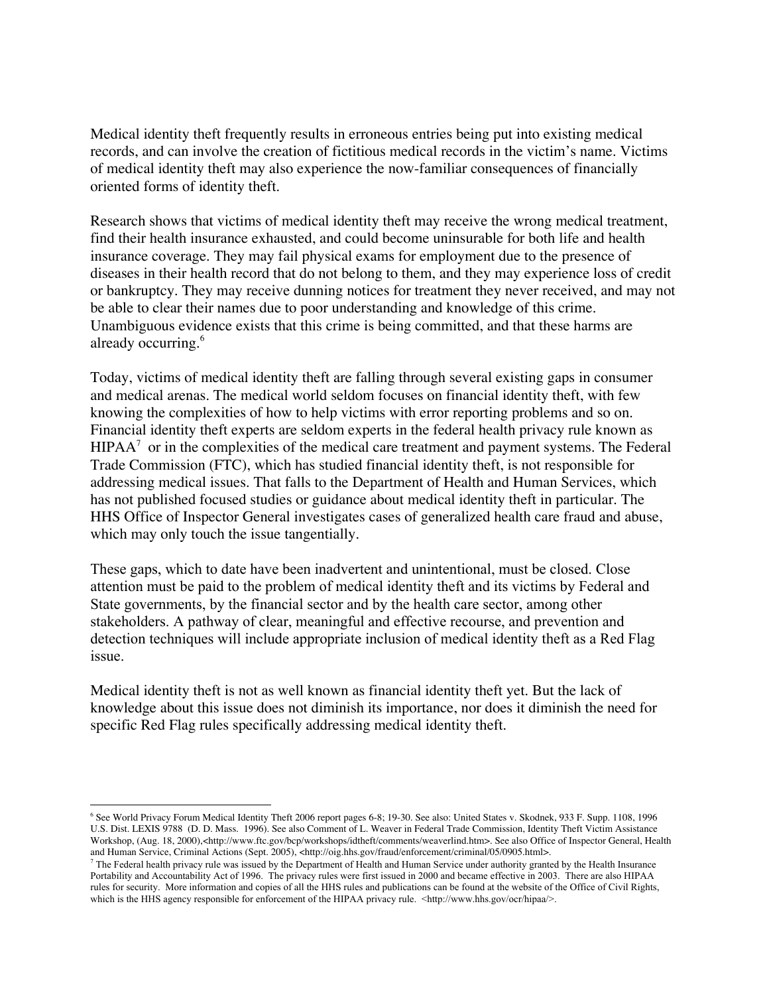Medical identity theft frequently results in erroneous entries being put into existing medical records, and can involve the creation of fictitious medical records in the victim's name. Victims of medical identity theft may also experience the now-familiar consequences of financially oriented forms of identity theft.

Research shows that victims of medical identity theft may receive the wrong medical treatment, find their health insurance exhausted, and could become uninsurable for both life and health insurance coverage. They may fail physical exams for employment due to the presence of diseases in their health record that do not belong to them, and they may experience loss of credit or bankruptcy. They may receive dunning notices for treatment they never received, and may not be able to clear their names due to poor understanding and knowledge of this crime. Unambiguous evidence exists that this crime is being committed, and that these harms are already occurring.<sup>6</sup>

Today, victims of medical identity theft are falling through several existing gaps in consumer and medical arenas. The medical world seldom focuses on financial identity theft, with few knowing the complexities of how to help victims with error reporting problems and so on. Financial identity theft experts are seldom experts in the federal health privacy rule known as  $HIPAA<sup>7</sup>$  or in the complexities of the medical care treatment and payment systems. The Federal Trade Commission (FTC), which has studied financial identity theft, is not responsible for addressing medical issues. That falls to the Department of Health and Human Services, which has not published focused studies or guidance about medical identity theft in particular. The HHS Office of Inspector General investigates cases of generalized health care fraud and abuse, which may only touch the issue tangentially.

These gaps, which to date have been inadvertent and unintentional, must be closed. Close attention must be paid to the problem of medical identity theft and its victims by Federal and State governments, by the financial sector and by the health care sector, among other stakeholders. A pathway of clear, meaningful and effective recourse, and prevention and detection techniques will include appropriate inclusion of medical identity theft as a Red Flag issue.

Medical identity theft is not as well known as financial identity theft yet. But the lack of knowledge about this issue does not diminish its importance, nor does it diminish the need for specific Red Flag rules specifically addressing medical identity theft.

 <sup>6</sup> See World Privacy Forum Medical Identity Theft 2006 report pages 6-8; 19-30. See also: United States v. Skodnek, 933 F. Supp. 1108, 1996 U.S. Dist. LEXIS 9788 (D. D. Mass. 1996). See also Comment of L. Weaver in Federal Trade Commission, Identity Theft Victim Assistance Workshop, (Aug. 18, 2000),<http://www.ftc.gov/bcp/workshops/idtheft/comments/weaverlind.htm>. See also Office of Inspector General, Health and Human Service, Criminal Actions (Sept. 2005), <http://oig.hhs.gov/fraud/enforcement/criminal/05/0905.html>.

 $<sup>7</sup>$  The Federal health privacy rule was issued by the Department of Health and Human Service under authority granted by the Health Insurance</sup> Portability and Accountability Act of 1996. The privacy rules were first issued in 2000 and became effective in 2003. There are also HIPAA rules for security. More information and copies of all the HHS rules and publications can be found at the website of the Office of Civil Rights, which is the HHS agency responsible for enforcement of the HIPAA privacy rule. <http://www.hhs.gov/ocr/hipaa/>.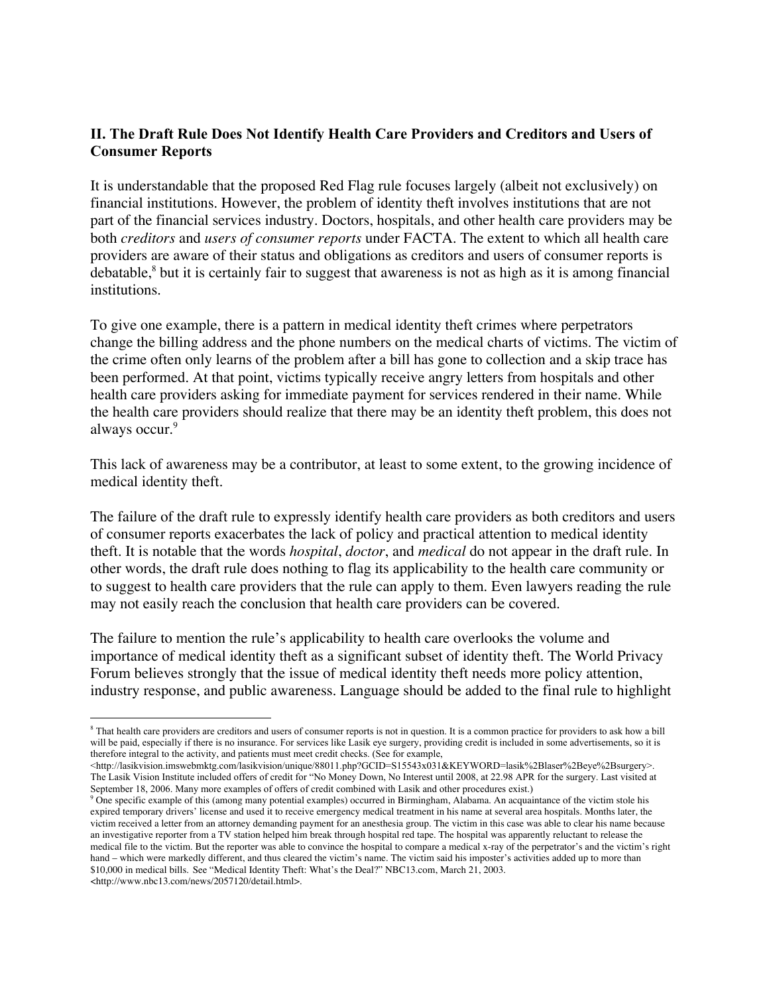### II. The Draft Rule Does Not Identify Health Care Providers and Creditors and Users of Consumer Reports

It is understandable that the proposed Red Flag rule focuses largely (albeit not exclusively) on financial institutions. However, the problem of identity theft involves institutions that are not part of the financial services industry. Doctors, hospitals, and other health care providers may be both *creditors* and *users of consumer reports* under FACTA. The extent to which all health care providers are aware of their status and obligations as creditors and users of consumer reports is debatable,<sup>8</sup> but it is certainly fair to suggest that awareness is not as high as it is among financial institutions.

To give one example, there is a pattern in medical identity theft crimes where perpetrators change the billing address and the phone numbers on the medical charts of victims. The victim of the crime often only learns of the problem after a bill has gone to collection and a skip trace has been performed. At that point, victims typically receive angry letters from hospitals and other health care providers asking for immediate payment for services rendered in their name. While the health care providers should realize that there may be an identity theft problem, this does not always occur.<sup>9</sup>

This lack of awareness may be a contributor, at least to some extent, to the growing incidence of medical identity theft.

The failure of the draft rule to expressly identify health care providers as both creditors and users of consumer reports exacerbates the lack of policy and practical attention to medical identity theft. It is notable that the words *hospital*, *doctor*, and *medical* do not appear in the draft rule. In other words, the draft rule does nothing to flag its applicability to the health care community or to suggest to health care providers that the rule can apply to them. Even lawyers reading the rule may not easily reach the conclusion that health care providers can be covered.

The failure to mention the rule's applicability to health care overlooks the volume and importance of medical identity theft as a significant subset of identity theft. The World Privacy Forum believes strongly that the issue of medical identity theft needs more policy attention, industry response, and public awareness. Language should be added to the final rule to highlight

 $\overline{a}$ <sup>8</sup> That health care providers are creditors and users of consumer reports is not in question. It is a common practice for providers to ask how a bill will be paid, especially if there is no insurance. For services like Lasik eye surgery, providing credit is included in some advertisements, so it is therefore integral to the activity, and patients must meet credit checks. (See for example,

<sup>&</sup>lt;http://lasikvision.imswebmktg.com/lasikvision/unique/88011.php?GCID=S15543x031&KEYWORD=lasik%2Blaser%2Beye%2Bsurgery>. The Lasik Vision Institute included offers of credit for "No Money Down, No Interest until 2008, at 22.98 APR for the surgery. Last visited at September 18, 2006. Many more examples of offers of credit combined with Lasik and other procedures exist.)

<sup>&</sup>lt;sup>9</sup> One specific example of this (among many potential examples) occurred in Birmingham, Alabama. An acquaintance of the victim stole his expired temporary drivers' license and used it to receive emergency medical treatment in his name at several area hospitals. Months later, the victim received a letter from an attorney demanding payment for an anesthesia group. The victim in this case was able to clear his name because an investigative reporter from a TV station helped him break through hospital red tape. The hospital was apparently reluctant to release the medical file to the victim. But the reporter was able to convince the hospital to compare a medical x-ray of the perpetrator's and the victim's right hand – which were markedly different, and thus cleared the victim's name. The victim said his imposter's activities added up to more than \$10,000 in medical bills. See "Medical Identity Theft: What's the Deal?" NBC13.com, March 21, 2003. <http://www.nbc13.com/news/2057120/detail.html>.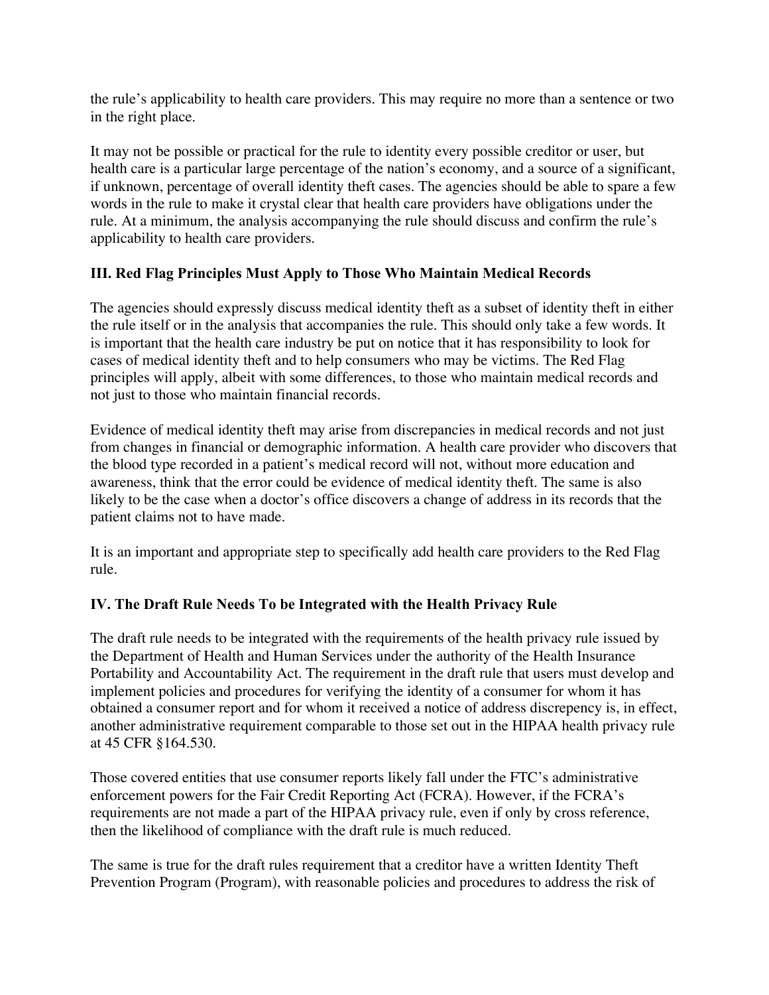the rule's applicability to health care providers. This may require no more than a sentence or two in the right place.

It may not be possible or practical for the rule to identity every possible creditor or user, but health care is a particular large percentage of the nation's economy, and a source of a significant, if unknown, percentage of overall identity theft cases. The agencies should be able to spare a few words in the rule to make it crystal clear that health care providers have obligations under the rule. At a minimum, the analysis accompanying the rule should discuss and confirm the rule's applicability to health care providers.

## III. Red Flag Principles Must Apply to Those Who Maintain Medical Records

The agencies should expressly discuss medical identity theft as a subset of identity theft in either the rule itself or in the analysis that accompanies the rule. This should only take a few words. It is important that the health care industry be put on notice that it has responsibility to look for cases of medical identity theft and to help consumers who may be victims. The Red Flag principles will apply, albeit with some differences, to those who maintain medical records and not just to those who maintain financial records.

Evidence of medical identity theft may arise from discrepancies in medical records and not just from changes in financial or demographic information. A health care provider who discovers that the blood type recorded in a patient's medical record will not, without more education and awareness, think that the error could be evidence of medical identity theft. The same is also likely to be the case when a doctor's office discovers a change of address in its records that the patient claims not to have made.

It is an important and appropriate step to specifically add health care providers to the Red Flag rule.

## IV. The Draft Rule Needs To be Integrated with the Health Privacy Rule

The draft rule needs to be integrated with the requirements of the health privacy rule issued by the Department of Health and Human Services under the authority of the Health Insurance Portability and Accountability Act. The requirement in the draft rule that users must develop and implement policies and procedures for verifying the identity of a consumer for whom it has obtained a consumer report and for whom it received a notice of address discrepency is, in effect, another administrative requirement comparable to those set out in the HIPAA health privacy rule at 45 CFR §164.530.

Those covered entities that use consumer reports likely fall under the FTC's administrative enforcement powers for the Fair Credit Reporting Act (FCRA). However, if the FCRA's requirements are not made a part of the HIPAA privacy rule, even if only by cross reference, then the likelihood of compliance with the draft rule is much reduced.

The same is true for the draft rules requirement that a creditor have a written Identity Theft Prevention Program (Program), with reasonable policies and procedures to address the risk of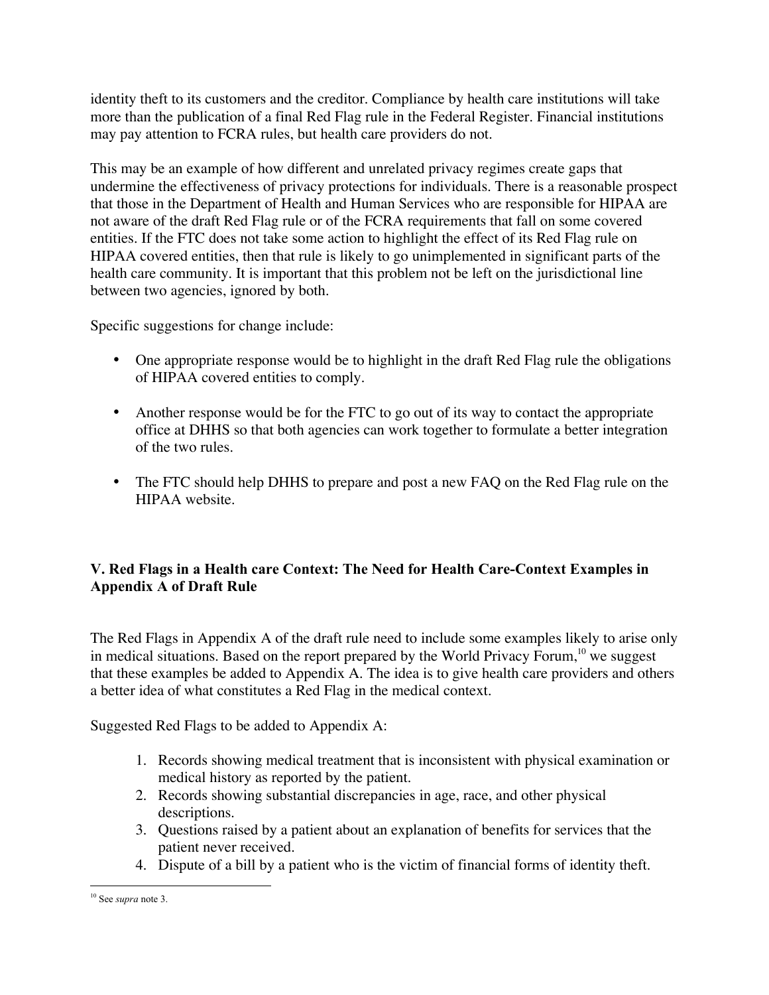identity theft to its customers and the creditor. Compliance by health care institutions will take more than the publication of a final Red Flag rule in the Federal Register. Financial institutions may pay attention to FCRA rules, but health care providers do not.

This may be an example of how different and unrelated privacy regimes create gaps that undermine the effectiveness of privacy protections for individuals. There is a reasonable prospect that those in the Department of Health and Human Services who are responsible for HIPAA are not aware of the draft Red Flag rule or of the FCRA requirements that fall on some covered entities. If the FTC does not take some action to highlight the effect of its Red Flag rule on HIPAA covered entities, then that rule is likely to go unimplemented in significant parts of the health care community. It is important that this problem not be left on the jurisdictional line between two agencies, ignored by both.

Specific suggestions for change include:

- One appropriate response would be to highlight in the draft Red Flag rule the obligations of HIPAA covered entities to comply.
- Another response would be for the FTC to go out of its way to contact the appropriate office at DHHS so that both agencies can work together to formulate a better integration of the two rules.
- The FTC should help DHHS to prepare and post a new FAQ on the Red Flag rule on the HIPAA website.

# V. Red Flags in a Health care Context: The Need for Health Care-Context Examples in Appendix A of Draft Rule

The Red Flags in Appendix A of the draft rule need to include some examples likely to arise only in medical situations. Based on the report prepared by the World Privacy Forum,  $^{10}$  we suggest that these examples be added to Appendix A. The idea is to give health care providers and others a better idea of what constitutes a Red Flag in the medical context.

Suggested Red Flags to be added to Appendix A:

- 1. Records showing medical treatment that is inconsistent with physical examination or medical history as reported by the patient.
- 2. Records showing substantial discrepancies in age, race, and other physical descriptions.
- 3. Questions raised by a patient about an explanation of benefits for services that the patient never received.
- 4. Dispute of a bill by a patient who is the victim of financial forms of identity theft.

10 See *supra* note 3.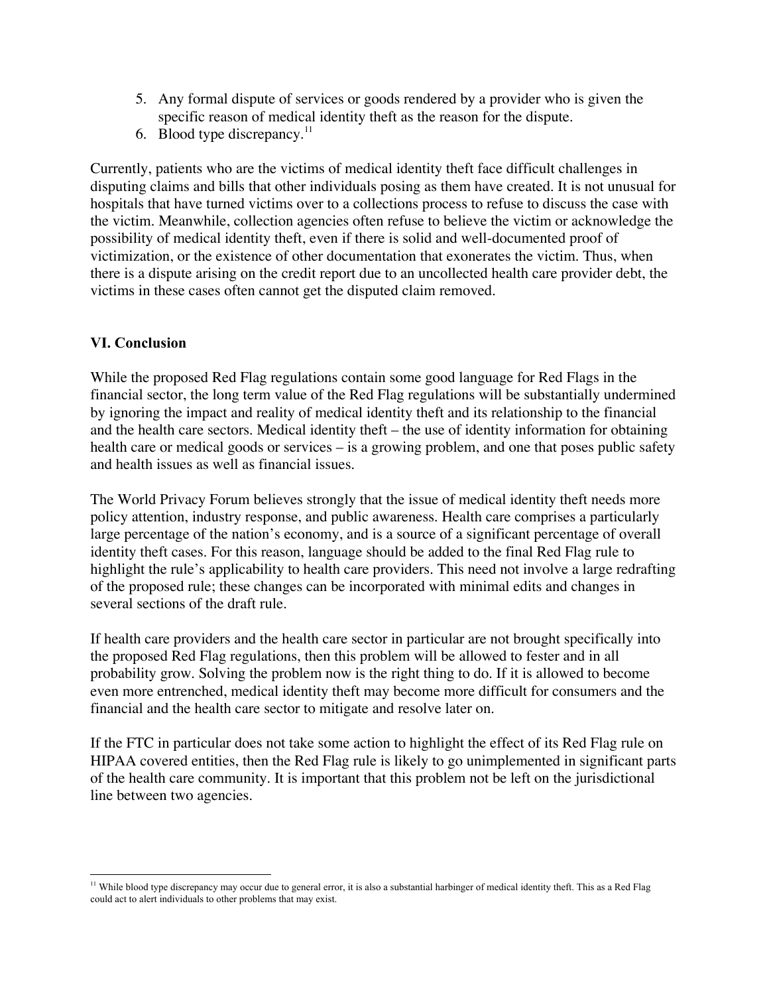- 5. Any formal dispute of services or goods rendered by a provider who is given the specific reason of medical identity theft as the reason for the dispute.
- 6. Blood type discrepancy. $^{11}$

Currently, patients who are the victims of medical identity theft face difficult challenges in disputing claims and bills that other individuals posing as them have created. It is not unusual for hospitals that have turned victims over to a collections process to refuse to discuss the case with the victim. Meanwhile, collection agencies often refuse to believe the victim or acknowledge the possibility of medical identity theft, even if there is solid and well-documented proof of victimization, or the existence of other documentation that exonerates the victim. Thus, when there is a dispute arising on the credit report due to an uncollected health care provider debt, the victims in these cases often cannot get the disputed claim removed.

### VI. Conclusion

While the proposed Red Flag regulations contain some good language for Red Flags in the financial sector, the long term value of the Red Flag regulations will be substantially undermined by ignoring the impact and reality of medical identity theft and its relationship to the financial and the health care sectors. Medical identity theft – the use of identity information for obtaining health care or medical goods or services – is a growing problem, and one that poses public safety and health issues as well as financial issues.

The World Privacy Forum believes strongly that the issue of medical identity theft needs more policy attention, industry response, and public awareness. Health care comprises a particularly large percentage of the nation's economy, and is a source of a significant percentage of overall identity theft cases. For this reason, language should be added to the final Red Flag rule to highlight the rule's applicability to health care providers. This need not involve a large redrafting of the proposed rule; these changes can be incorporated with minimal edits and changes in several sections of the draft rule.

If health care providers and the health care sector in particular are not brought specifically into the proposed Red Flag regulations, then this problem will be allowed to fester and in all probability grow. Solving the problem now is the right thing to do. If it is allowed to become even more entrenched, medical identity theft may become more difficult for consumers and the financial and the health care sector to mitigate and resolve later on.

If the FTC in particular does not take some action to highlight the effect of its Red Flag rule on HIPAA covered entities, then the Red Flag rule is likely to go unimplemented in significant parts of the health care community. It is important that this problem not be left on the jurisdictional line between two agencies.

11 While blood type discrepancy may occur due to general error, it is also a substantial harbinger of medical identity theft. This as a Red Flag could act to alert individuals to other problems that may exist.